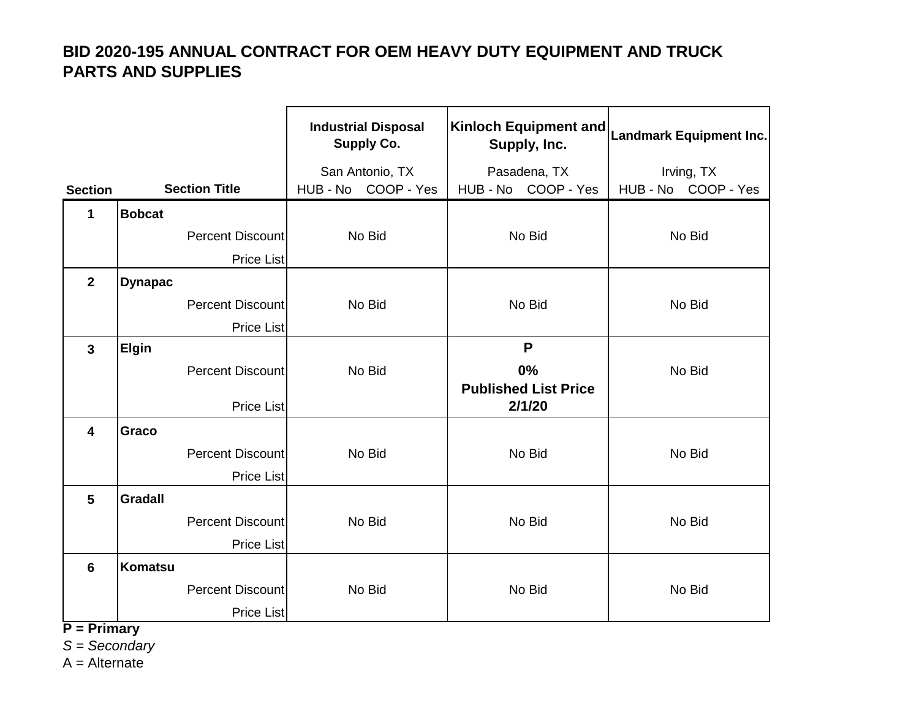|                         |                |                         | <b>Industrial Disposal</b><br><b>Supply Co.</b> | Kinloch Equipment and<br>Supply, Inc. | <b>Landmark Equipment Inc.</b> |
|-------------------------|----------------|-------------------------|-------------------------------------------------|---------------------------------------|--------------------------------|
|                         |                |                         | San Antonio, TX                                 | Pasadena, TX                          | Irving, TX                     |
| <b>Section</b>          |                | <b>Section Title</b>    | HUB - No COOP - Yes                             | HUB - No COOP - Yes                   | HUB - No COOP - Yes            |
| 1                       | <b>Bobcat</b>  |                         |                                                 |                                       |                                |
|                         |                | <b>Percent Discount</b> | No Bid                                          | No Bid                                | No Bid                         |
|                         |                | <b>Price List</b>       |                                                 |                                       |                                |
| $\overline{2}$          | <b>Dynapac</b> |                         |                                                 |                                       |                                |
|                         |                | <b>Percent Discount</b> | No Bid                                          | No Bid                                | No Bid                         |
|                         |                | <b>Price List</b>       |                                                 |                                       |                                |
| $\mathbf{3}$            | Elgin          |                         |                                                 | P                                     |                                |
|                         |                | <b>Percent Discount</b> | No Bid                                          | 0%<br><b>Published List Price</b>     | No Bid                         |
|                         |                | <b>Price List</b>       |                                                 | 2/1/20                                |                                |
| $\overline{\mathbf{4}}$ | Graco          |                         |                                                 |                                       |                                |
|                         |                | <b>Percent Discount</b> | No Bid                                          | No Bid                                | No Bid                         |
|                         |                | <b>Price List</b>       |                                                 |                                       |                                |
| $5\phantom{1}$          | <b>Gradall</b> |                         |                                                 |                                       |                                |
|                         |                | Percent Discount        | No Bid                                          | No Bid                                | No Bid                         |
|                         |                | <b>Price List</b>       |                                                 |                                       |                                |
| $6\phantom{1}$          | <b>Komatsu</b> |                         |                                                 |                                       |                                |
|                         |                | <b>Percent Discount</b> | No Bid                                          | No Bid                                | No Bid                         |
| <b>Duima</b>            |                | Price List              |                                                 |                                       |                                |

**P = Primary** 

*S = Secondary*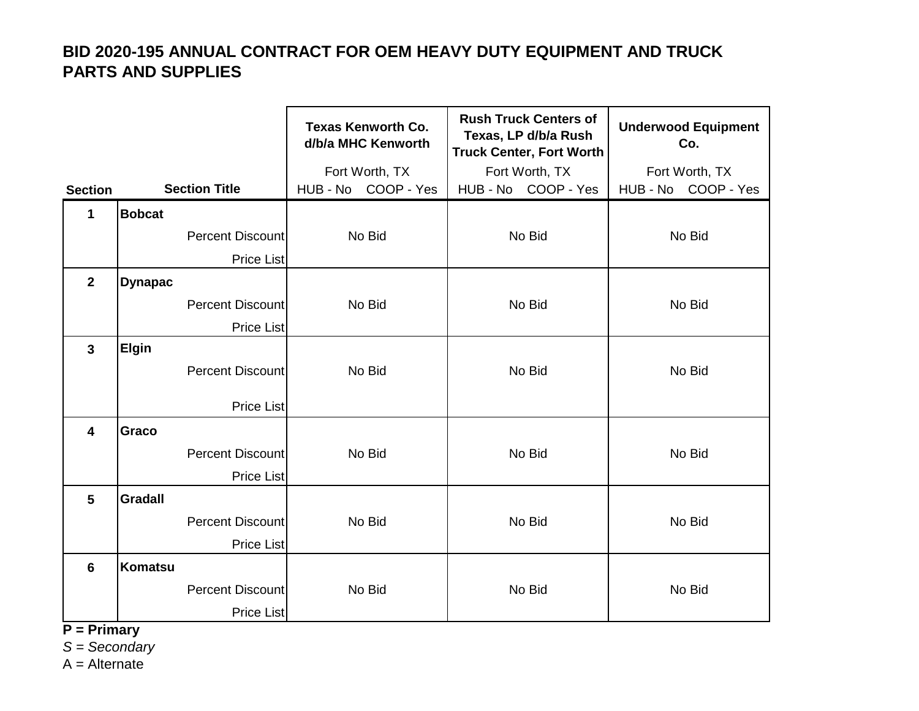|                         |                |                          | <b>Texas Kenworth Co.</b><br>d/b/a MHC Kenworth | <b>Rush Truck Centers of</b><br>Texas, LP d/b/a Rush<br><b>Truck Center, Fort Worth</b> | <b>Underwood Equipment</b><br>Co. |
|-------------------------|----------------|--------------------------|-------------------------------------------------|-----------------------------------------------------------------------------------------|-----------------------------------|
|                         |                |                          | Fort Worth, TX                                  | Fort Worth, TX                                                                          | Fort Worth, TX                    |
| <b>Section</b>          |                | <b>Section Title</b>     | HUB - No COOP - Yes                             | HUB - No COOP - Yes                                                                     | HUB - No COOP - Yes               |
| 1                       | <b>Bobcat</b>  |                          |                                                 |                                                                                         |                                   |
|                         |                | Percent Discount         | No Bid                                          | No Bid                                                                                  | No Bid                            |
|                         |                | Price List               |                                                 |                                                                                         |                                   |
| $\overline{2}$          | <b>Dynapac</b> |                          |                                                 |                                                                                         |                                   |
|                         |                | Percent Discount         | No Bid                                          | No Bid                                                                                  | No Bid                            |
|                         |                | <b>Price List</b>        |                                                 |                                                                                         |                                   |
| $\mathbf{3}$            | Elgin          |                          |                                                 |                                                                                         |                                   |
|                         |                | <b>Percent Discountl</b> | No Bid                                          | No Bid                                                                                  | No Bid                            |
|                         |                | <b>Price List</b>        |                                                 |                                                                                         |                                   |
| $\overline{\mathbf{4}}$ | Graco          |                          |                                                 |                                                                                         |                                   |
|                         |                | <b>Percent Discount</b>  | No Bid                                          | No Bid                                                                                  | No Bid                            |
|                         |                | <b>Price List</b>        |                                                 |                                                                                         |                                   |
| $5\phantom{1}$          | <b>Gradall</b> |                          |                                                 |                                                                                         |                                   |
|                         |                | <b>Percent Discount</b>  | No Bid                                          | No Bid                                                                                  | No Bid                            |
|                         |                | <b>Price List</b>        |                                                 |                                                                                         |                                   |
| 6                       | <b>Komatsu</b> |                          |                                                 |                                                                                         |                                   |
|                         |                | Percent Discount         | No Bid                                          | No Bid                                                                                  | No Bid                            |
| <b>DOM:</b>             |                | Price List               |                                                 |                                                                                         |                                   |

**P = Primary** 

*S = Secondary*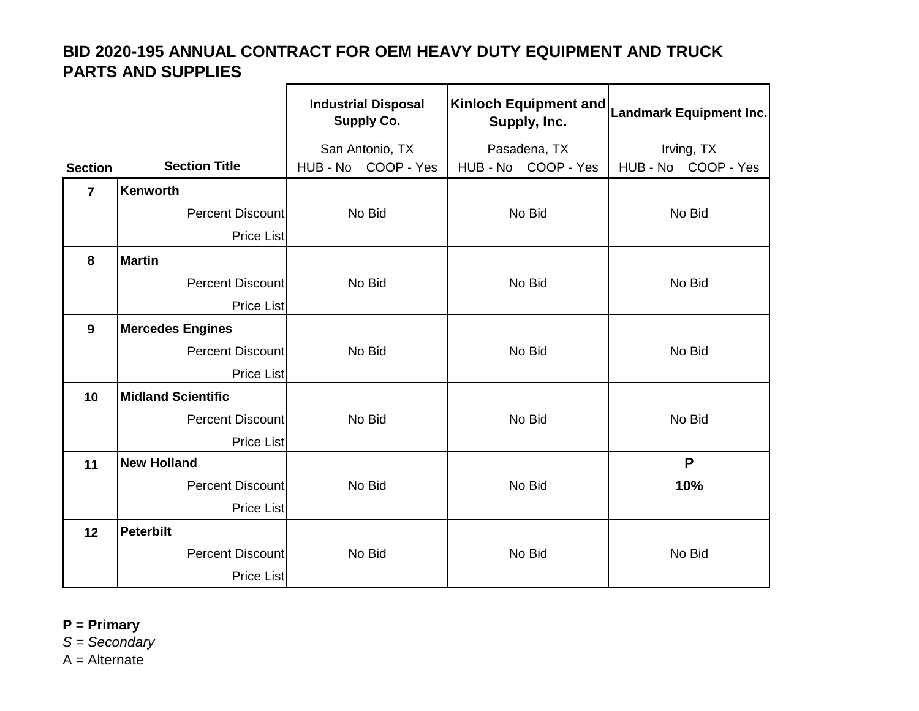|                |                           | <b>Industrial Disposal</b><br><b>Supply Co.</b> | <b>Kinloch Equipment and</b><br>Supply, Inc. | Landmark Equipment Inc. |
|----------------|---------------------------|-------------------------------------------------|----------------------------------------------|-------------------------|
|                |                           | San Antonio, TX                                 | Pasadena, TX                                 | Irving, TX              |
| <b>Section</b> | <b>Section Title</b>      | HUB - No COOP - Yes                             | HUB - No COOP - Yes                          | HUB-No COOP-Yes         |
| $\overline{7}$ | <b>Kenworth</b>           |                                                 |                                              |                         |
|                | Percent Discount          | No Bid                                          | No Bid                                       | No Bid                  |
|                | <b>Price List</b>         |                                                 |                                              |                         |
| 8              | <b>Martin</b>             |                                                 |                                              |                         |
|                | <b>Percent Discount</b>   | No Bid                                          | No Bid                                       | No Bid                  |
|                | <b>Price List</b>         |                                                 |                                              |                         |
| $\mathbf{9}$   | <b>Mercedes Engines</b>   |                                                 |                                              |                         |
|                | <b>Percent Discount</b>   | No Bid                                          | No Bid                                       | No Bid                  |
|                | <b>Price List</b>         |                                                 |                                              |                         |
| 10             | <b>Midland Scientific</b> |                                                 |                                              |                         |
|                | Percent Discount          | No Bid                                          | No Bid                                       | No Bid                  |
|                | <b>Price List</b>         |                                                 |                                              |                         |
| 11             | <b>New Holland</b>        |                                                 |                                              | $\mathsf{P}$            |
|                | Percent Discount          | No Bid                                          | No Bid                                       | 10%                     |
|                | <b>Price List</b>         |                                                 |                                              |                         |
| 12             | <b>Peterbilt</b>          |                                                 |                                              |                         |
|                | Percent Discount          | No Bid                                          | No Bid                                       | No Bid                  |
|                | <b>Price List</b>         |                                                 |                                              |                         |

**P = Primary** 

*S = Secondary*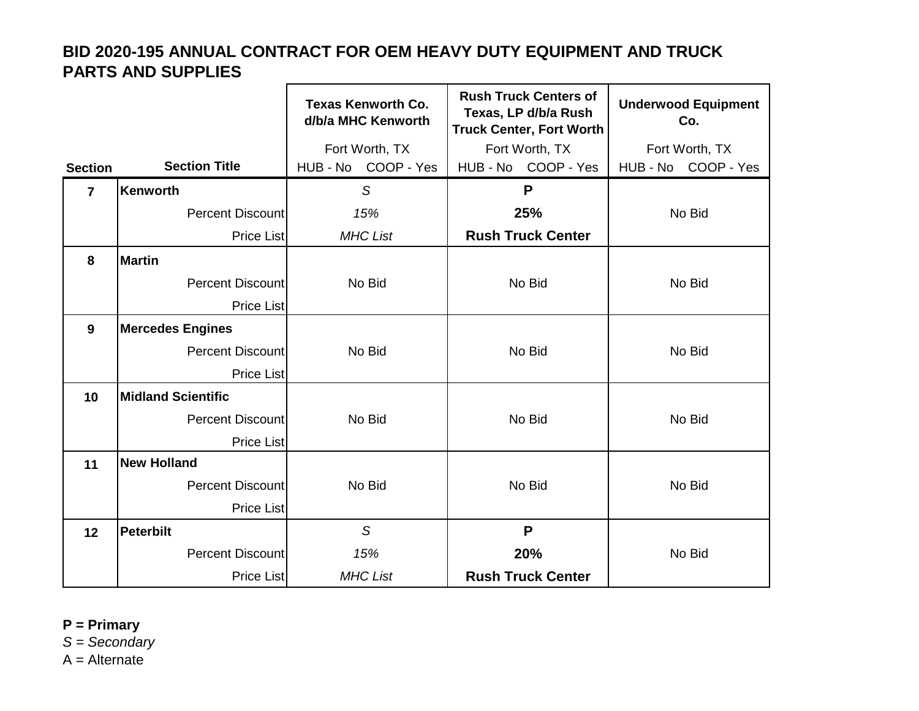$\blacksquare$ 

|                |                           | <b>Texas Kenworth Co.</b><br>d/b/a MHC Kenworth | <b>Rush Truck Centers of</b><br>Texas, LP d/b/a Rush<br><b>Truck Center, Fort Worth</b> | <b>Underwood Equipment</b><br>Co. |
|----------------|---------------------------|-------------------------------------------------|-----------------------------------------------------------------------------------------|-----------------------------------|
|                |                           | Fort Worth, TX                                  | Fort Worth, TX                                                                          | Fort Worth, TX                    |
| <b>Section</b> | <b>Section Title</b>      | HUB - No COOP - Yes                             | HUB - No COOP - Yes                                                                     | HUB-No COOP-Yes                   |
| $\overline{7}$ | Kenworth                  | S                                               | P                                                                                       |                                   |
|                | <b>Percent Discount</b>   | 15%                                             | 25%                                                                                     | No Bid                            |
|                | <b>Price List</b>         | <b>MHC List</b>                                 | <b>Rush Truck Center</b>                                                                |                                   |
| 8              | <b>Martin</b>             |                                                 |                                                                                         |                                   |
|                | Percent Discount          | No Bid                                          | No Bid                                                                                  | No Bid                            |
|                | <b>Price List</b>         |                                                 |                                                                                         |                                   |
| 9              | <b>Mercedes Engines</b>   |                                                 |                                                                                         |                                   |
|                | <b>Percent Discount</b>   | No Bid                                          | No Bid                                                                                  | No Bid                            |
|                | <b>Price List</b>         |                                                 |                                                                                         |                                   |
| 10             | <b>Midland Scientific</b> |                                                 |                                                                                         |                                   |
|                | <b>Percent Discount</b>   | No Bid                                          | No Bid                                                                                  | No Bid                            |
|                | <b>Price List</b>         |                                                 |                                                                                         |                                   |
| 11             | <b>New Holland</b>        |                                                 |                                                                                         |                                   |
|                | Percent Discount          | No Bid                                          | No Bid                                                                                  | No Bid                            |
|                | <b>Price List</b>         |                                                 |                                                                                         |                                   |
| 12             | <b>Peterbilt</b>          | S                                               | $\mathsf{P}$                                                                            |                                   |
|                | Percent Discount          | 15%                                             | 20%                                                                                     | No Bid                            |
|                | <b>Price List</b>         | <b>MHC List</b>                                 | <b>Rush Truck Center</b>                                                                |                                   |

**P = Primary** 

*S = Secondary*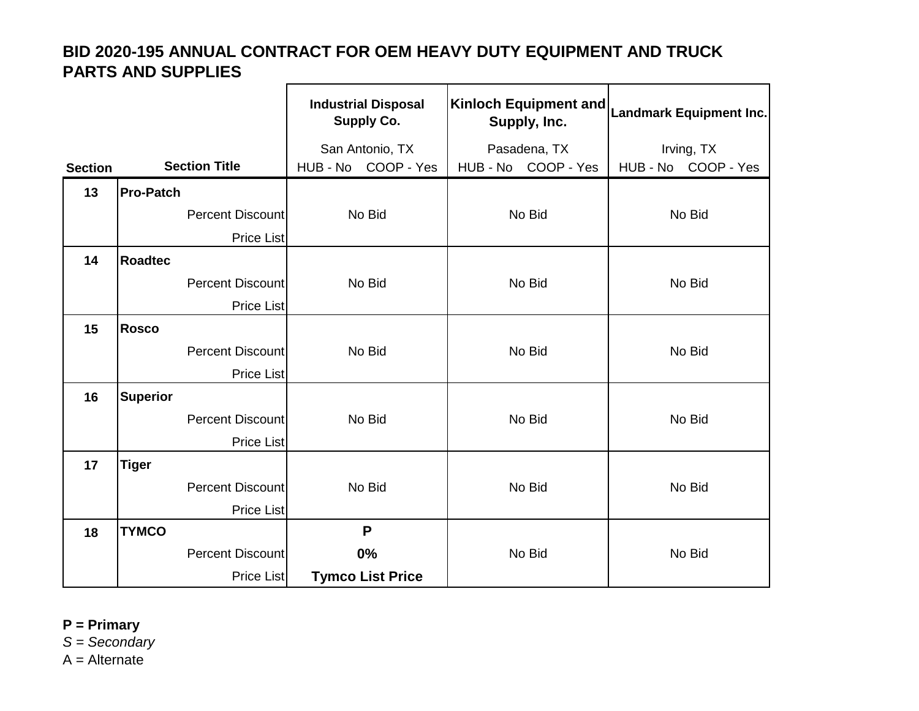|                |                  |                         | <b>Industrial Disposal</b><br><b>Supply Co.</b> | Kinloch Equipment and<br>Supply, Inc. | <b>Landmark Equipment Inc.</b> |
|----------------|------------------|-------------------------|-------------------------------------------------|---------------------------------------|--------------------------------|
|                |                  |                         | San Antonio, TX                                 | Pasadena, TX                          | Irving, TX                     |
| <b>Section</b> |                  | <b>Section Title</b>    | HUB - No COOP - Yes                             | HUB - No COOP - Yes                   | HUB - No COOP - Yes            |
| 13             | <b>Pro-Patch</b> |                         |                                                 |                                       |                                |
|                |                  | <b>Percent Discount</b> | No Bid                                          | No Bid                                | No Bid                         |
|                |                  | <b>Price List</b>       |                                                 |                                       |                                |
| 14             | <b>Roadtec</b>   |                         |                                                 |                                       |                                |
|                |                  | Percent Discount        | No Bid                                          | No Bid                                | No Bid                         |
|                |                  | <b>Price List</b>       |                                                 |                                       |                                |
| 15             | <b>Rosco</b>     |                         |                                                 |                                       |                                |
|                |                  | <b>Percent Discount</b> | No Bid                                          | No Bid                                | No Bid                         |
|                |                  | <b>Price List</b>       |                                                 |                                       |                                |
| 16             | <b>Superior</b>  |                         |                                                 |                                       |                                |
|                |                  | Percent Discount        | No Bid                                          | No Bid                                | No Bid                         |
|                |                  | <b>Price List</b>       |                                                 |                                       |                                |
| 17             | <b>Tiger</b>     |                         |                                                 |                                       |                                |
|                |                  | Percent Discount        | No Bid                                          | No Bid                                | No Bid                         |
|                |                  | <b>Price List</b>       |                                                 |                                       |                                |
| 18             | <b>TYMCO</b>     |                         | P                                               |                                       |                                |
|                |                  | Percent Discount        | 0%                                              | No Bid                                | No Bid                         |
|                |                  | <b>Price List</b>       | <b>Tymco List Price</b>                         |                                       |                                |

**P = Primary** 

*S = Secondary*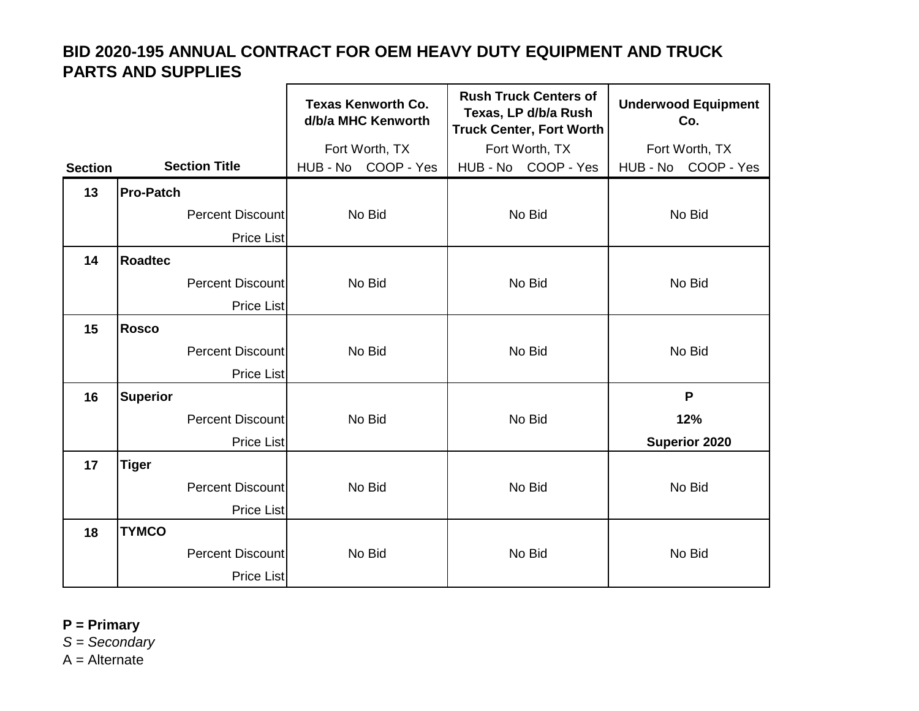|                |                  |                         | <b>Texas Kenworth Co.</b><br>d/b/a MHC Kenworth | <b>Rush Truck Centers of</b><br>Texas, LP d/b/a Rush<br><b>Truck Center, Fort Worth</b> | <b>Underwood Equipment</b><br>Co. |
|----------------|------------------|-------------------------|-------------------------------------------------|-----------------------------------------------------------------------------------------|-----------------------------------|
|                |                  |                         | Fort Worth, TX                                  | Fort Worth, TX                                                                          | Fort Worth, TX                    |
| <b>Section</b> |                  | <b>Section Title</b>    | HUB - No COOP - Yes                             | HUB - No COOP - Yes                                                                     | HUB - No COOP - Yes               |
| 13             | <b>Pro-Patch</b> |                         |                                                 |                                                                                         |                                   |
|                |                  | Percent Discount        | No Bid                                          | No Bid                                                                                  | No Bid                            |
|                |                  | <b>Price List</b>       |                                                 |                                                                                         |                                   |
| 14             | <b>Roadtec</b>   |                         |                                                 |                                                                                         |                                   |
|                |                  | <b>Percent Discount</b> | No Bid                                          | No Bid                                                                                  | No Bid                            |
|                |                  | <b>Price List</b>       |                                                 |                                                                                         |                                   |
| 15             | <b>Rosco</b>     |                         |                                                 |                                                                                         |                                   |
|                |                  | <b>Percent Discount</b> | No Bid                                          | No Bid                                                                                  | No Bid                            |
|                |                  | <b>Price List</b>       |                                                 |                                                                                         |                                   |
| 16             | <b>Superior</b>  |                         |                                                 |                                                                                         | P                                 |
|                |                  | <b>Percent Discount</b> | No Bid                                          | No Bid                                                                                  | 12%                               |
|                |                  | <b>Price List</b>       |                                                 |                                                                                         | <b>Superior 2020</b>              |
| 17             | <b>Tiger</b>     |                         |                                                 |                                                                                         |                                   |
|                |                  | Percent Discount        | No Bid                                          | No Bid                                                                                  | No Bid                            |
|                |                  | <b>Price List</b>       |                                                 |                                                                                         |                                   |
| 18             | <b>TYMCO</b>     |                         |                                                 |                                                                                         |                                   |
|                |                  | Percent Discount        | No Bid                                          | No Bid                                                                                  | No Bid                            |
|                |                  | <b>Price List</b>       |                                                 |                                                                                         |                                   |

**P = Primary** 

*S = Secondary*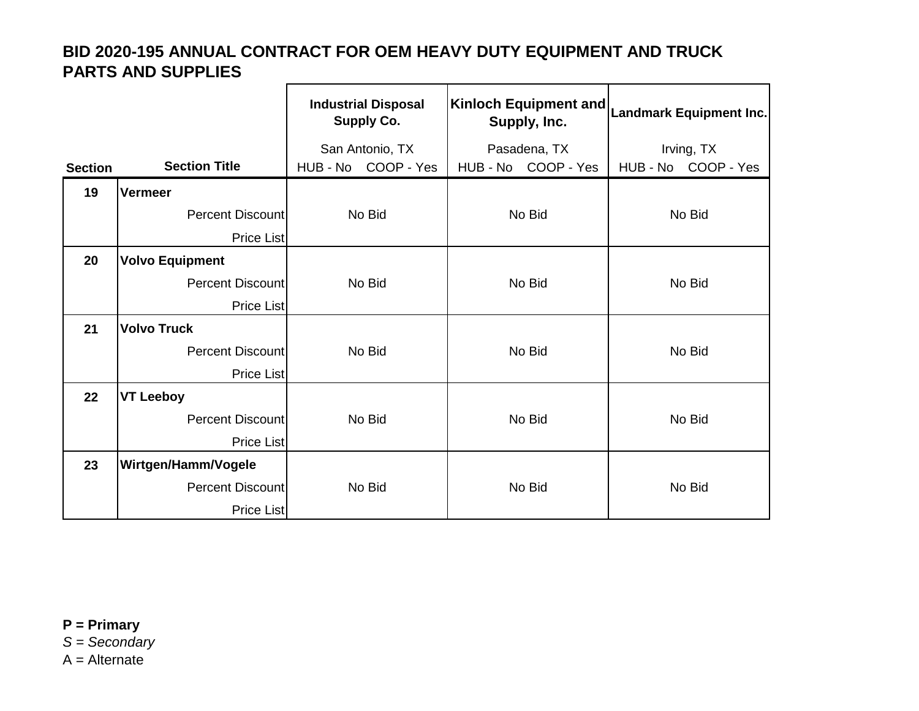|                |                            | <b>Industrial Disposal</b><br><b>Supply Co.</b> | Kinloch Equipment and<br>Supply, Inc. | <b>Landmark Equipment Inc.</b> |
|----------------|----------------------------|-------------------------------------------------|---------------------------------------|--------------------------------|
|                |                            | San Antonio, TX                                 | Pasadena, TX                          | Irving, TX                     |
| <b>Section</b> | <b>Section Title</b>       | HUB - No COOP - Yes                             | HUB - No COOP - Yes                   | HUB - No COOP - Yes            |
| 19             | Vermeer                    |                                                 |                                       |                                |
|                | <b>Percent Discount</b>    | No Bid                                          | No Bid                                | No Bid                         |
|                | Price List                 |                                                 |                                       |                                |
| 20             | <b>Volvo Equipment</b>     |                                                 |                                       |                                |
|                | <b>Percent Discount</b>    | No Bid                                          | No Bid                                | No Bid                         |
|                | Price List                 |                                                 |                                       |                                |
| 21             | <b>Volvo Truck</b>         |                                                 |                                       |                                |
|                | <b>Percent Discount</b>    | No Bid                                          | No Bid                                | No Bid                         |
|                | <b>Price List</b>          |                                                 |                                       |                                |
| 22             | <b>VT Leeboy</b>           |                                                 |                                       |                                |
|                | <b>Percent Discount</b>    | No Bid                                          | No Bid                                | No Bid                         |
|                | <b>Price List</b>          |                                                 |                                       |                                |
| 23             | <b>Wirtgen/Hamm/Vogele</b> |                                                 |                                       |                                |
|                | <b>Percent Discount</b>    | No Bid                                          | No Bid                                | No Bid                         |
|                | <b>Price List</b>          |                                                 |                                       |                                |

**P = Primary**  *S = Secondary*  $A =$  Alternate